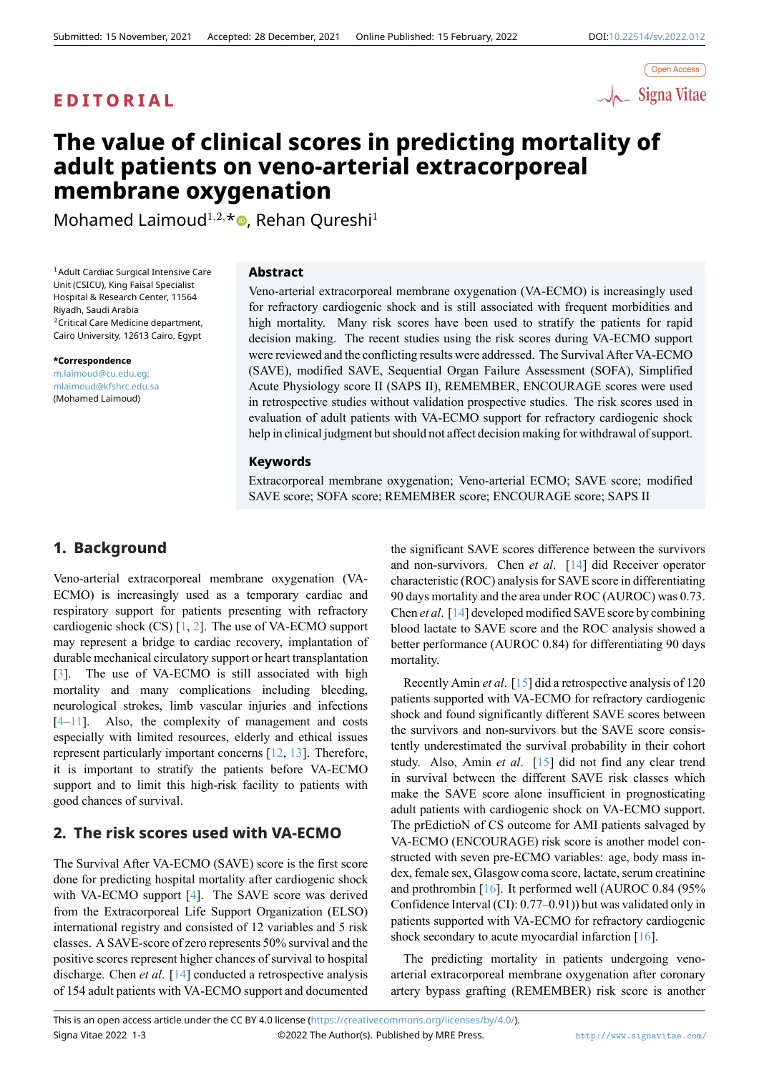

# **The value of clinical scores in predicting mortality of adult patients on veno-arterial extracorporeal membrane oxygenation**

Mohamed Laimoud<sup>1,2,\*</sup> , Rehan Qureshi<sup>1</sup>

<sup>1</sup>Adult Cardiac Surgical Intensive Care Unit (CSICU), King Faisal Specialist Hospital & Research Center, 11564 Riyadh, Saudi Arabia <sup>2</sup>Critical Care Medicine department, Cairo University, 12613 Cairo, Egypt

**\*Correspondence** m.laimoud@cu.edu.eg; mlaimoud@kfshrc.edu.sa (Mohamed Laimoud)

# **Abstract**

Veno-arterial extracorporeal membrane oxygenation (VA-ECMO) is increasingly used for refractory cardiogenic shock and is still associated with frequent morbidities and high mortality. Many risk scores have been used to stratify the patients for rapid decision making. The recent studies using the risk scores during VA-ECMO support were reviewed and the conflicting results were addressed. The Survival After VA-ECMO (SAVE), modified SAVE, Sequential Organ Failure Assessment (SOFA), Simplified Acute Physiology score II (SAPS II), REMEMBER, ENCOURAGE scores were used in retrospective studies without validation prospective studies. The risk scores used in evaluation of adult patients with VA-ECMO support for refractory cardiogenic shock help in clinical judgment but should not affect decision making for withdrawal of support.

# **Keywords**

Extracorporeal membrane oxygenation; Veno-arterial ECMO; SAVE score; modified SAVE score; SOFA score; REMEMBER score; ENCOURAGE score; SAPS II

# **1. Background**

Veno-arterial extracorporeal membrane oxygenation (VA-ECMO) is increasingly used as a temporary cardiac and respiratory support for patients presenting with refractory cardiogenic shock (CS) [1, 2]. The use of VA-ECMO support may represent a bridge to cardiac recovery, implantation of durable mechanical circulatory support or heart transplantation [3]. The use of VA-ECMO is still associated with high mortality and many [co](#page-1-0)[m](#page-1-1)plications including bleeding, neurological strokes, limb vascular injuries and infections  $[4-11]$ . Also, the complexity of management and costs [es](#page-1-2)pecially with limited resources, elderly and ethical issues represent particularly important concerns [12, 13]. Therefore, it is important to stratify the patients before VA-ECMO [su](#page-1-3)[ppo](#page-2-0)rt and to limit this high-risk facility to patients with good chances of survival.

# **2. The risk scores used with VA-ECMO**

The Survival After VA-ECMO (SAVE) score is the first score done for predicting hospital mortality after cardiogenic shock with VA-ECMO support [4]. The SAVE score was derived from the Extracorporeal Life Support Organization (ELSO) international registry and consisted of 12 variables and 5 risk classes. A SAVE-score of zero represents 50% survival and the positive scores represent h[igh](#page-1-3)er chances of survival to hospital discharge. Chen *et al*. [14] conducted a retrospective analysis of 154 adult patients with VA-ECMO support and documented the significant SAVE scores difference between the survivors and non-survivors. Chen *et al*. [14] did Receiver operator characteristic (ROC) analysis for SAVE score in differentiating 90 days mortality and the area under ROC (AUROC) was 0.73. Chen *et al*. [14] developed modified SAVE score by combining blood lactate to SAVE score and t[he R](#page-2-1)OC analysis showed a better performance (AUROC 0.84) for differentiating 90 days mortality.

Recently [Am](#page-2-1)in *et al*. [15] did a retrospective analysis of 120 patients supported with VA-ECMO for refractory cardiogenic shock and found significantly different SAVE scores between the survivors and non-survivors but the SAVE score consistently underestimated t[he s](#page-2-2)urvival probability in their cohort study. Also, Amin *et al*. [15] did not find any clear trend in survival between the different SAVE risk classes which make the SAVE score alone insufficient in prognosticating adult patients with cardiogenic shock on VA-ECMO support. The prEdictioN of CS outco[me](#page-2-2) for AMI patients salvaged by VA-ECMO (ENCOURAGE) risk score is another model constructed with seven pre-ECMO variables: age, body mass index, female sex, Glasgow coma score, lactate, serum creatinine and prothrombin [16]. It performed well (AUROC 0.84 (95% Confidence Interval (CI): 0.77–0.91)) but was validated only in patients supported with VA-ECMO for refractory cardiogenic shock secondary to acute myocardial infarction [16].

The predicting [m](#page-2-3)ortality in patients undergoing venoarterial extracorporeal membrane oxygenation after coronary artery bypass grafting (REMEMBER) risk sco[re](#page-2-3) is another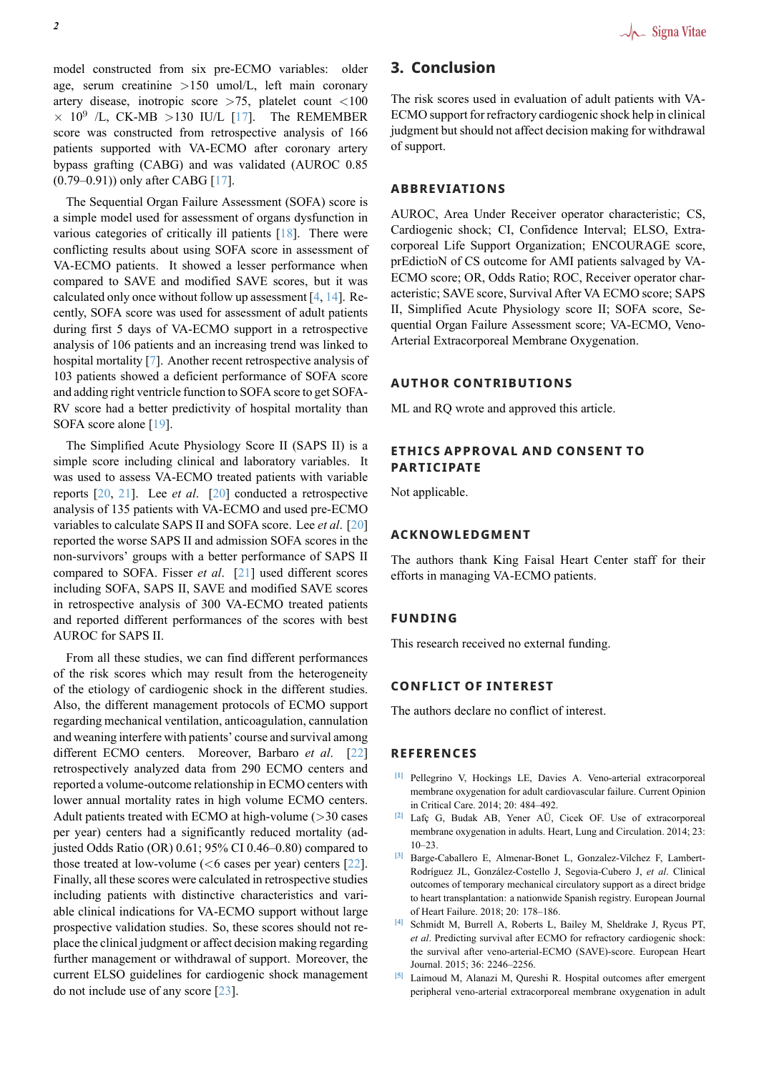model constructed from six pre-ECMO variables: older age, serum creatinine *>*150 umol/L, left main coronary artery disease, inotropic score *>*75, platelet count *<*100 *<sup>×</sup>* <sup>10</sup><sup>9</sup> /L, CK-MB *>*130 IU/L [17]. The REMEMBER score was constructed from retrospective analysis of 166 patients supported with VA-ECMO after coronary artery bypass grafting (CABG) and was validated (AUROC 0.85 (0.79–0.91)) only after CABG [17].

The Sequential Organ Failure Assessment (SOFA) score is a simple model used for assessment of organs dysfunction in various categories of critically ill patients [18]. There were conflicting results about using [SO](#page-2-4)FA score in assessment of VA-ECMO patients. It showed a lesser performance when compared to SAVE and modified SAVE scores, but it was calculated only once without follow up asses[sme](#page-2-5)nt [4, 14]. Recently, SOFA score was used for assessment of adult patients during first 5 days of VA-ECMO support in a retrospective analysis of 106 patients and an increasing trend was linked to hospital mortality [7]. Another recent retrospective [a](#page-1-3)[naly](#page-2-1)sis of 103 patients showed a deficient performance of SOFA score and adding right ventricle function to SOFA score to get SOFA-RV score had a better predictivity of hospital mortality than SOFA score alone [\[1](#page-2-6)9].

The Simplified Acute Physiology Score II (SAPS II) is a simple score including clinical and laboratory variables. It was used to assess VA-ECMO treated patients with variable reports [20, 21]. [Lee](#page-2-7) *et al*. [20] conducted a retrospective analysis of 135 patients with VA-ECMO and used pre-ECMO variables to calculate SAPS II and SOFA score. Lee *et al*. [20] reported the worse SAPS II and admission SOFA scores in the non-sur[vivo](#page-2-8)[rs'](#page-2-9) groups with a [bett](#page-2-8)er performance of SAPS II compared to SOFA. Fisser *et al*. [21] used different scores including SOFA, SAPS II, SAVE and modified SAVE sc[ores](#page-2-8) in retrospective analysis of 300 VA-ECMO treated patients and reported different performances of the scores with best AUROC for SAPS II.

From all these studies, we can find different performances of the risk scores which may result from the heterogeneity of the etiology of cardiogenic shock in the different studies. Also, the different management protocols of ECMO support regarding mechanical ventilation, anticoagulation, cannulation and weaning interfere with patients' course and survival among different ECMO centers. Moreover, Barbaro *et al*. [22] retrospectively analyzed data from 290 ECMO centers and reported a volume-outcome relationship in ECMO centers with lower annual mortality rates in high volume ECMO centers. Adult patients treated with ECMO at high-volume (*>*30 c[ases](#page-2-10) per year) centers had a significantly reduced mortality (adjusted Odds Ratio (OR) 0.61; 95% CI 0.46–0.80) compared to those treated at low-volume (*<*6 cases per year) centers [22]. Finally, all these scores were calculated in retrospective studies including patients with distinctive characteristics and variable clinical indications for VA-ECMO support without large prospective validation studies. So, these scores should no[t re](#page-2-10)place the clinical judgment or affect decision making regarding further management or withdrawal of support. Moreover, the current ELSO guidelines for cardiogenic shock management do not include use of any score [23].

# **3. Conclusion**

The risk scores used in evaluation of adult patients with VA-ECMO support for refractory cardiogenic shock help in clinical judgment but should not affect decision making for withdrawal of support.

## **ABBREVIATIONS**

AUROC, Area Under Receiver operator characteristic; CS, Cardiogenic shock; CI, Confidence Interval; ELSO, Extracorporeal Life Support Organization; ENCOURAGE score, prEdictioN of CS outcome for AMI patients salvaged by VA-ECMO score; OR, Odds Ratio; ROC, Receiver operator characteristic; SAVE score, Survival After VA ECMO score; SAPS II, Simplified Acute Physiology score II; SOFA score, Sequential Organ Failure Assessment score; VA-ECMO, Veno-Arterial Extracorporeal Membrane Oxygenation.

#### **AUTHOR CONTRIBUTIONS**

ML and RQ wrote and approved this article.

# **ETHICS APPROVAL AND CONSENT TO PARTICIPATE**

Not applicable.

### **ACKNOWLEDGMENT**

The authors thank King Faisal Heart Center staff for their efforts in managing VA-ECMO patients.

# **FUNDING**

This research received no external funding.

## **CONFLICT OF INTEREST**

The authors declare no conflict of interest.

#### **REFERENCES**

- **[1]** Pellegrino V, Hockings LE, Davies A. Veno-arterial extracorporeal membrane oxygenation for adult cardiovascular failure. Current Opinion in Critical Care. 2014; 20: 484–492.
- **[2]** Lafç G, Budak AB, Yener AÜ, Cicek OF. Use of extracorporeal membrane oxygenation in adults. Heart, Lung and Circulation. 2014; 23: 10–23.
- <span id="page-1-1"></span><span id="page-1-0"></span>**[3]** Barge-Caballero E, Almenar-Bonet L, Gonzalez-Vilchez F, Lambert-Rodríguez JL, González-Costello J, Segovia-Cubero J, *et al*. Clinical outcomes of temporary mechanical circulatory support as a direct bridge to heart transplantation: a nationwide Spanish registry. European Journal of Heart Failure. 2018; 20: 178–186.
- <span id="page-1-2"></span>**[4]** Schmidt M, Burrell A, Roberts L, Bailey M, Sheldrake J, Rycus PT, *et al*. Predicting survival after ECMO for refractory cardiogenic shock: the survival after veno-arterial-ECMO (SAVE)-score. European Heart Journal. 2015; 36: 2246–2256.
- <span id="page-1-3"></span>**[5]** Laimoud M, Alanazi M, Qureshi R. Hospital outcomes after emergent peripheral veno-arterial extracorporeal membrane oxygenation in adult